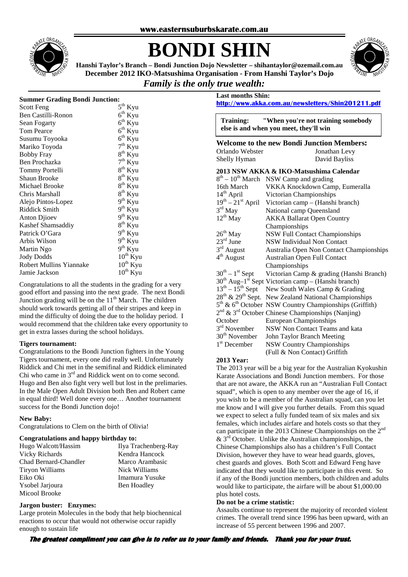

# **BONDI SHIN**



**Hanshi Taylor's Branch – Bondi Junction Dojo Newsletter – shihantaylor@ozemail.com.au December 2012 IKO-Matsushima Organisation - From Hanshi Taylor's Dojo** 

## *Family is the only true wealth:*

#### **Summer Grading Bondi Junction:**

| Scott Feng                     | $5^{th}$ Kyu        |
|--------------------------------|---------------------|
| Ben Castilli-Ronon             | $6th$ Kyu           |
| Sean Fogarty                   | $6^{th}$ Kyu        |
| <b>Tom Pearce</b>              | $6th$ Kyu           |
| Susumu Toyooka                 | $6th$ Kyu           |
| Mariko Toyoda                  | $7th$ Kyu           |
| <b>Bobby Fray</b>              | $8^{th}$ Kyu        |
| Ben Prochazka                  | $7^{\text{th}}$ Kyu |
| Tommy Portelli                 | $8^{th}$ Kyu        |
| Shaun Brooke                   | $8^{th}$ Kyu        |
| Michael Brooke                 | $8^{th}$ Kyu        |
| Chris Marshall                 | $8^{th}$ Kyu        |
| Alejo Pintos-Lopez             | $9th$ Kyu           |
| Riddick Smith                  | $9th$ Kyu           |
| Anton Djioev                   | $9^{th}$ Kyu        |
| Kashef Shamsaddiy              | $8^{th}$ Kyu        |
| Patrick O'Gara                 | $9th$ Kyu           |
| Arbis Wilson                   | $9th$ Kyu           |
| Martin Ngo                     | $9th$ Kyu           |
| <b>Jody Dodds</b>              | $10^{th}$ Kyu       |
| <b>Robert Mullins Yiannake</b> | $10^{th}$ Kyu       |
| Jamie Jackson                  | $10^{th}$ Kyu       |

Congratulations to all the students in the grading for a very good effort and passing into the next grade. The next Bondi Junction grading will be on the  $11<sup>th</sup>$  March. The children should work towards getting all of their stripes and keep in mind the difficulty of doing the due to the holiday period. I would recommend that the children take every opportunity to get in extra lasses during the school holidays.

#### **Tigers tournament:**

Congratulations to the Bondi Junction fighters in the Young Tigers tournament, every one did really well. Unfortunately Riddick and Chi met in the semifinal and Riddick eliminated Chi who came in 3<sup>rd</sup> and Riddick went on to come second. Hugo and Ben also fight very well but lost in the prelimaries. In the Male Open Adult Division both Ben and Robert came in equal third! Well done every one… Another tournament success for the Bondi Junction dojo!

#### **New Baby:**

Congratulations to Clem on the birth of Olivia!

#### **Congratulations and happy birthday to:**

| Hugo Walcott/Hassim    |
|------------------------|
| Vicky Richards         |
| Chad Bernard-Chandler  |
| <b>Tiryon Williams</b> |
| Eiko Oki               |
| Ysobel Jarjoura        |
| Micool Brooke          |

Ilya Trachenberg-Ray Kendra Hancock r Marco Arambasic Nick Williams Eiko Oki Imamura Yusuke Ben Hoadley

#### **Jargon buster: Enzymes:**

Large protein Molecules in the body that help biochennical reactions to occur that would not otherwise occur rapidly enough to sustain life

### **Last months Shin: http://www.akka.com.au/newsletters/Shin201211.pdf**

**Training: "When you're not training somebody else is and when you meet, they'll win** 

**Welcome to the new Bondi Junction Members:**  Orlando Webster Jonathan Levy Shelly Hyman David Bayliss

#### **2013 NSW AKKA & IKO-Matsushima Calendar**

| $8th - 10th$ March       | NSW Camp and grading                                                           |
|--------------------------|--------------------------------------------------------------------------------|
| 16th March               | VKKA Knockdown Camp, Eumeralla                                                 |
| 14 <sup>th</sup> April   | Victorian Championships                                                        |
|                          | $19^{th} - 21^{st}$ April Victorian camp – (Hanshi branch)                     |
| $3rd$ May                | National camp Queensland                                                       |
| $12^{th}$ May            | <b>AKKA Ballarat Open Country</b>                                              |
|                          | Championships                                                                  |
| $26^{th}$ May            | <b>NSW Full Contact Championships</b>                                          |
| $23rd$ June              | NSW Individual Non Contact                                                     |
| $3rd$ August             | Australia Open Non Contact Championships                                       |
| $4th$ August             | Australian Open Full Contact                                                   |
|                          | Championships                                                                  |
| $30^{th} - 1^{st}$ Sept  | Victorian Camp & grading (Hanshi Branch)                                       |
|                          | $30th$ Aug-1 <sup>st</sup> Sept Victorian camp – (Hanshi branch)               |
|                          | $13th - 15th$ Sept New South Wales Camp & Grading                              |
|                          | 28 <sup>th</sup> & 29 <sup>th</sup> Sept. New Zealand National Championships   |
|                          | 5 <sup>th</sup> & 6 <sup>th</sup> October NSW Country Championships (Griffith) |
|                          | $2nd$ & $3rd$ October Chinese Championships (Nanjing)                          |
| October                  | <b>European Championships</b>                                                  |
| 3 <sup>rd</sup> November | NSW Non Contact Teams and kata                                                 |
|                          | 30 <sup>th</sup> November John Taylor Branch Meeting                           |
| $1st$ December           | <b>NSW Country Championships</b>                                               |
|                          | (Full & Non Contact) Griffith                                                  |

#### **2013 Year:**

The 2013 year will be a big year for the Australian Kyokushin Karate Associations and Bondi Junction members. For those that are not aware, the AKKA run an "Australian Full Contact squad", which is open to any member over the age of 16, if you wish to be a member of the Australian squad, can you let me know and I will give you further details. From this squad we expect to select a fully funded team of six males and six females, which includes airfare and hotels costs so that they can participate in the 2013 Chinese Championships on the 2<sup>nd</sup>  $& 3<sup>rd</sup>$  October. Unlike the Australian championships, the Chinese Championships also has a children's Full Contact Division, however they have to wear head guards, gloves, chest guards and gloves. Both Scott and Edward Feng have indicated that they would like to participate in this event. So if any of the Bondi junction members, both children and adults would like to participate, the airfare will be about \$1,000.00 plus hotel costs.

#### **Do not be a crime statistic:**

Assaults continue to represent the majority of recorded violent crimes. The overall trend since 1996 has been upward, with an increase of 55 percent between 1996 and 2007.